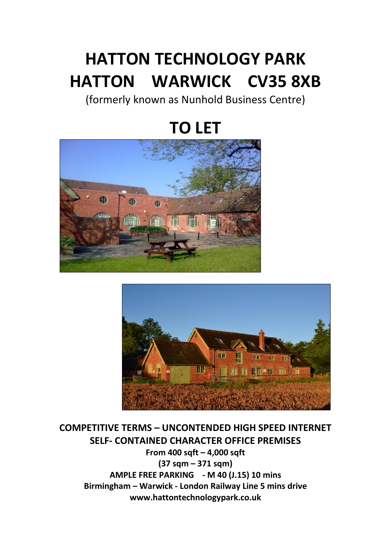## **HATTON TECHNOLOGY PARK HATTON WARWICK CV35 8XB**

(formerly known as Nunhold Business Centre)

# **TO LET**





## **COMPETITIVE TERMS – UNCONTENDED HIGH SPEED INTERNET SELF- CONTAINED CHARACTER OFFICE PREMISES**

**From 400 sqft – 4,000 sqft (37 sqm – 371 sqm) AMPLE FREE PARKING - M 40 (J.15) 10 mins Birmingham – Warwick - London Railway Line 5 mins drive www.hattontechnologypark.co.uk**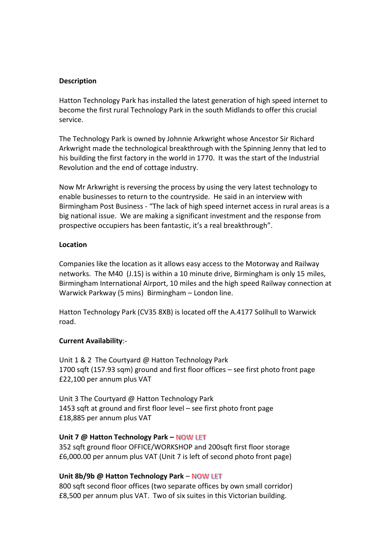#### **Description**

Hatton Technology Park has installed the latest generation of high speed internet to become the first rural Technology Park in the south Midlands to offer this crucial service.

The Technology Park is owned by Johnnie Arkwright whose Ancestor Sir Richard Arkwright made the technological breakthrough with the Spinning Jenny that led to his building the first factory in the world in 1770. It was the start of the Industrial Revolution and the end of cottage industry.

Now Mr Arkwright is reversing the process by using the very latest technology to enable businesses to return to the countryside. He said in an interview with Birmingham Post Business - "The lack of high speed internet access in rural areas is a big national issue. We are making a significant investment and the response from prospective occupiers has been fantastic, it's a real breakthrough".

#### **Location**

Companies like the location as it allows easy access to the Motorway and Railway networks. The M40 (J.15) is within a 10 minute drive, Birmingham is only 15 miles, Birmingham International Airport, 10 miles and the high speed Railway connection at Warwick Parkway (5 mins) Birmingham – London line.

Hatton Technology Park (CV35 8XB) is located off the A.4177 Solihull to Warwick road.

#### **Current Availability**:-

Unit 1 & 2 The Courtyard @ Hatton Technology Park 1700 sqft (157.93 sqm) ground and first floor offices – see first photo front page £22,100 per annum plus VAT

Unit 3 The Courtyard @ Hatton Technology Park 1453 sqft at ground and first floor level – see first photo front page £18,885 per annum plus VAT

#### **Unit 7 @ Hatton Technology Park - NOW LET**

352 sqft ground floor OFFICE/WORKSHOP and 200sqft first floor storage £6,000.00 per annum plus VAT (Unit 7 is left of second photo front page)

#### **Unit 8b/9b @ Hatton Technology Park - NOW LET**

800 sqft second floor offices (two separate offices by own small corridor) £8,500 per annum plus VAT. Two of six suites in this Victorian building.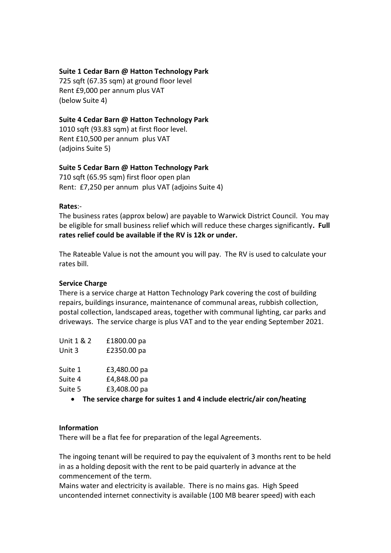#### **Suite 1 Cedar Barn @ Hatton Technology Park**

725 sqft (67.35 sqm) at ground floor level Rent £9,000 per annum plus VAT (below Suite 4)

#### **Suite 4 Cedar Barn @ Hatton Technology Park**

1010 sqft (93.83 sqm) at first floor level. Rent £10,500 per annum plus VAT (adjoins Suite 5)

#### **Suite 5 Cedar Barn @ Hatton Technology Park**

710 sqft (65.95 sqm) first floor open plan Rent: £7,250 per annum plus VAT (adjoins Suite 4)

#### **Rates**:-

The business rates (approx below) are payable to Warwick District Council. You may be eligible for small business relief which will reduce these charges significantly**. Full rates relief could be available if the RV is 12k or under.**

The Rateable Value is not the amount you will pay. The RV is used to calculate your rates bill.

#### **Service Charge**

There is a service charge at Hatton Technology Park covering the cost of building repairs, buildings insurance, maintenance of communal areas, rubbish collection, postal collection, landscaped areas, together with communal lighting, car parks and driveways. The service charge is plus VAT and to the year ending September 2021.

| Unit 1 & 2 | £1800.00 pa  |
|------------|--------------|
| Unit 3     | £2350.00 pa  |
|            |              |
| Suite 1    | £3,480.00 pa |
| Suite 4    | £4,848.00 pa |
| Suite 5    | £3,408.00 pa |

• **The service charge for suites 1 and 4 include electric/air con/heating**

#### **Information**

There will be a flat fee for preparation of the legal Agreements.

The ingoing tenant will be required to pay the equivalent of 3 months rent to be held in as a holding deposit with the rent to be paid quarterly in advance at the commencement of the term.

Mains water and electricity is available. There is no mains gas. High Speed uncontended internet connectivity is available (100 MB bearer speed) with each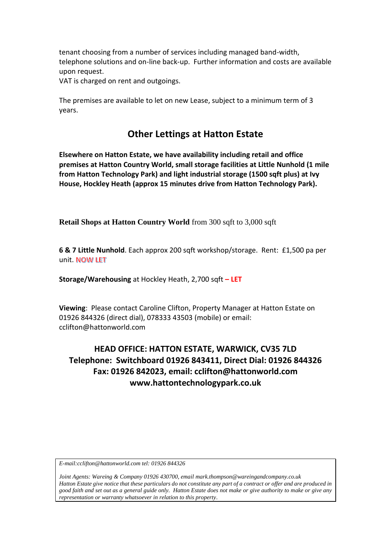tenant choosing from a number of services including managed band-width, telephone solutions and on-line back-up. Further information and costs are available upon request.

VAT is charged on rent and outgoings.

The premises are available to let on new Lease, subject to a minimum term of 3 years.

### **Other Lettings at Hatton Estate**

**Elsewhere on Hatton Estate, we have availability including retail and office premises at Hatton Country World, small storage facilities at Little Nunhold (1 mile from Hatton Technology Park) and light industrial storage (1500 sqft plus) at Ivy House, Hockley Heath (approx 15 minutes drive from Hatton Technology Park).**

**Retail Shops at Hatton Country World** from 300 sqft to 3,000 sqft

**6 & 7 Little Nunhold**. Each approx 200 sqft workshop/storage. Rent: £1,500 pa per unit. NOW LET

**Storage/Warehousing** at Hockley Heath, 2,700 sqft **– LET**

**Viewing**: Please contact Caroline Clifton, Property Manager at Hatton Estate on 01926 844326 (direct dial), 078333 43503 (mobile) or email: cclifton@hattonworld.com

### **HEAD OFFICE: HATTON ESTATE, WARWICK, CV35 7LD Telephone: Switchboard 01926 843411, Direct Dial: 01926 844326 Fax: 01926 842023, email: cclifton@hattonworld.com www.hattontechnologypark.co.uk**

*E-mail:cclifton@hattonworld.com tel: 01926 844326*

*Joint Agents: Wareing & Company 01926 430700, email mark.thompson@wareingandcompany.co.uk Hatton Estate give notice that these particulars do not constitute any part of a contract or offer and are produced in good faith and set out as a general guide only. Hatton Estate does not make or give authority to make or give any representation or warranty whatsoever in relation to this property*.